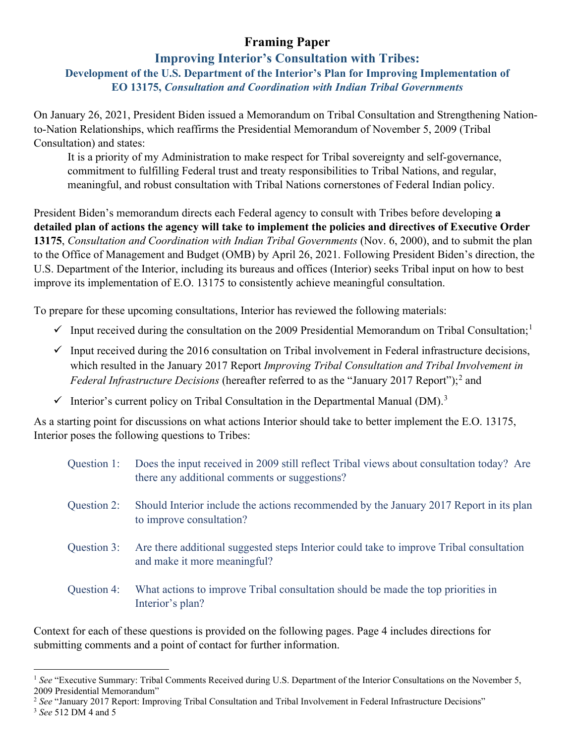# **Framing Paper**

## **Improving Interior's Consultation with Tribes: Development of the U.S. Department of the Interior's Plan for Improving Implementation of EO 13175,** *Consultation and Coordination with Indian Tribal Governments*

On January 26, 2021, President Biden issued a Memorandum on Tribal Consultation and Strengthening Nationto-Nation Relationships, which reaffirms the Presidential Memorandum of November 5, 2009 (Tribal Consultation) and states:

It is a priority of my Administration to make respect for Tribal sovereignty and self-governance, commitment to fulfilling Federal trust and treaty responsibilities to Tribal Nations, and regular, meaningful, and robust consultation with Tribal Nations cornerstones of Federal Indian policy.

President Biden's memorandum directs each Federal agency to consult with Tribes before developing **a detailed plan of actions the agency will take to implement the policies and directives of Executive Order 13175**, *Consultation and Coordination with Indian Tribal Governments* (Nov. 6, 2000), and to submit the plan to the Office of Management and Budget (OMB) by April 26, 2021. Following President Biden's direction, the U.S. Department of the Interior, including its bureaus and offices (Interior) seeks Tribal input on how to best improve its implementation of E.O. 13175 to consistently achieve meaningful consultation.

To prepare for these upcoming consultations, Interior has reviewed the following materials:

- $\checkmark$  Input received during the consultation on the 2009 Presidential Memorandum on Tribal Consultation;<sup>[1](#page-0-0)</sup>
- $\checkmark$  Input received during the 2016 consultation on Tribal involvement in Federal infrastructure decisions, which resulted in the January 2017 Report *Improving Tribal Consultation and Tribal Involvement in*  Federal Infrastructure Decisions (hereafter referred to as the "January [2](#page-0-1)017 Report");<sup>2</sup> and
- $\checkmark$  Interior's current policy on Tribal Consultation in the Departmental Manual (DM).<sup>[3](#page-0-2)</sup>

As a starting point for discussions on what actions Interior should take to better implement the E.O. 13175 , Interior poses the following questions to Tribes:

| Question 1: | Does the input received in 2009 still reflect Tribal views about consultation today? Are<br>there any additional comments or suggestions? |
|-------------|-------------------------------------------------------------------------------------------------------------------------------------------|
| Question 2: | Should Interior include the actions recommended by the January 2017 Report in its plan<br>to improve consultation?                        |
| Question 3: | Are there additional suggested steps Interior could take to improve Tribal consultation<br>and make it more meaningful?                   |
| Question 4: | What actions to improve Tribal consultation should be made the top priorities in<br>Interior's plan?                                      |

Context for each of these questions is provided on the following pages. Page 4 includes directions for submitting comments and a point of contact for further information.

<span id="page-0-1"></span><sup>2</sup> See "January 2017 Report: Improving Tribal Consultation and Tribal Involvement in Federal Infrastructure Decisions" 3 See 512 DM 4 and 5

<span id="page-0-0"></span><sup>&</sup>lt;sup>1</sup> See "Executive Summary: Tribal Comments Received during U.S. Department of the Interior Consultations on the November 5, 2009 Presidential Memorandum"

<span id="page-0-2"></span>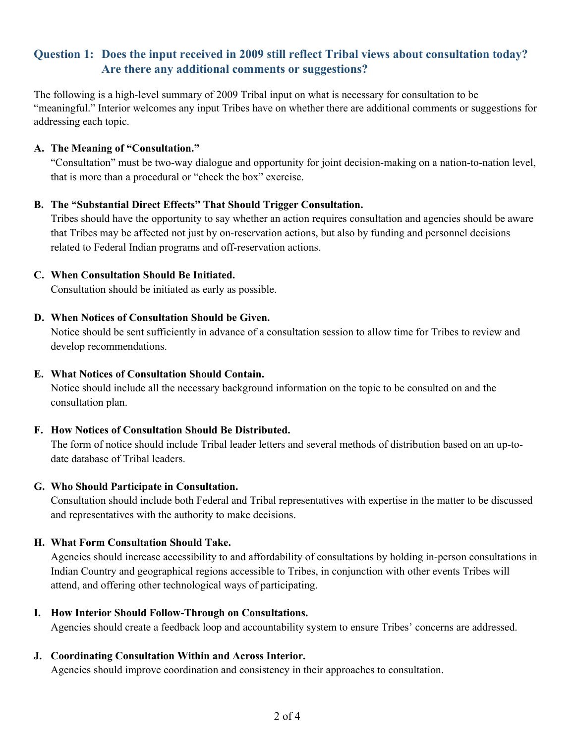# **Question 1: Does the input received in 2009 still reflect Tribal views about consultation today? Are there any additional comments or suggestions?**

The following is a high-level summary of 2009 Tribal input on what is necessary for consultation to be "meaningful." Interior welcomes any input Tribes have on whether there are additional comments or suggestions for addressing each topic.

### **A. The Meaning of "Consultation."**

"Consultation" must be two-way dialogue and opportunity for joint decision-making on a nation-to-nation level, that is more than a procedural or "check the box" exercise.

### **B. The "Substantial Direct Effects" That Should Trigger Consultation.**

Tribes should have the opportunity to say whether an action requires consultation and agencies should be aware that Tribes may be affected not just by on-reservation actions, but also by funding and personnel decisions related to Federal Indian programs and off-reservation actions.

### **C. When Consultation Should Be Initiated.**

Consultation should be initiated as early as possible.

### **D. When Notices of Consultation Should be Given.**

Notice should be sent sufficiently in advance of a consultation session to allow time for Tribes to review and develop recommendations.

### **E. What Notices of Consultation Should Contain.**

Notice should include all the necessary background information on the topic to be consulted on and the consultation plan.

## **F. How Notices of Consultation Should Be Distributed.**

The form of notice should include Tribal leader letters and several methods of distribution based on an up-todate database of Tribal leaders.

### **G. Who Should Participate in Consultation.**

Consultation should include both Federal and Tribal representatives with expertise in the matter to be discussed and representatives with the authority to make decisions.

## **H. What Form Consultation Should Take.**

Agencies should increase accessibility to and affordability of consultations by holding in-person consultations in Indian Country and geographical regions accessible to Tribes, in conjunction with other events Tribes will attend, and offering other technological ways of participating.

## **I. How Interior Should Follow-Through on Consultations.**

Agencies should create a feedback loop and accountability system to ensure Tribes' concerns are addressed.

## **J. Coordinating Consultation Within and Across Interior.**

Agencies should improve coordination and consistency in their approaches to consultation.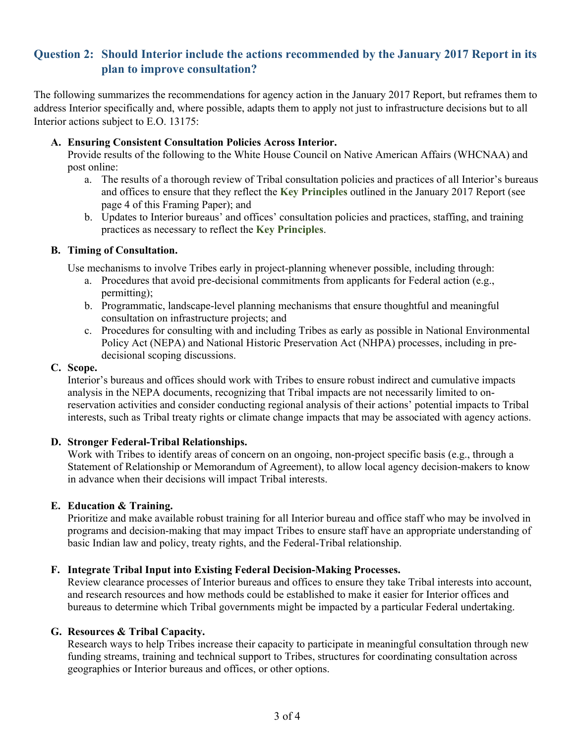# **Question 2: Should Interior include the actions recommended by the January 2017 Report in its plan to improve consultation?**

The following summarizes the recommendations for agency action in the January 2017 Report, but reframes them to address Interior specifically and, where possible, adapts them to apply not just to infrastructure decisions but to all Interior actions subject to E.O. 13175:

#### **A. Ensuring Consistent Consultation Policies Across Interior.**

Provide results of the following to the White House Council on Native American Affairs (WHCNAA) and post online:

- a. The results of a thorough review of Tribal consultation policies and practices of all Interior's bureaus and offices to ensure that they reflect the **Key Principles** outlined in the January 2017 Report (see page 4 of this Framing Paper); and
- b. Updates to Interior bureaus' and offices' consultation policies and practices, staffing, and training practices as necessary to reflect the **Key Principles**.

#### **B. Timing of Consultation.**

Use mechanisms to involve Tribes early in project-planning whenever possible, including through:

- a. Procedures that avoid pre-decisional commitments from applicants for Federal action (e.g., permitting);
- b. Programmatic, landscape-level planning mechanisms that ensure thoughtful and meaningful consultation on infrastructure projects; and
- c. Procedures for consulting with and including Tribes as early as possible in National Environmental Policy Act (NEPA) and National Historic Preservation Act (NHPA) processes, including in predecisional scoping discussions.

#### **C. Scope.**

Interior's bureaus and offices should work with Tribes to ensure robust indirect and cumulative impacts analysis in the NEPA documents, recognizing that Tribal impacts are not necessarily limited to onreservation activities and consider conducting regional analysis of their actions' potential impacts to Tribal interests, such as Tribal treaty rights or climate change impacts that may be associated with agency actions.

### **D. Stronger Federal-Tribal Relationships.**

Work with Tribes to identify areas of concern on an ongoing, non-project specific basis (e.g., through a Statement of Relationship or Memorandum of Agreement), to allow local agency decision-makers to know in advance when their decisions will impact Tribal interests.

### **E. Education & Training.**

Prioritize and make available robust training for all Interior bureau and office staff who may be involved in programs and decision-making that may impact Tribes to ensure staff have an appropriate understanding of basic Indian law and policy, treaty rights, and the Federal-Tribal relationship.

### **F. Integrate Tribal Input into Existing Federal Decision-Making Processes.**

Review clearance processes of Interior bureaus and offices to ensure they take Tribal interests into account, and research resources and how methods could be established to make it easier for Interior offices and bureaus to determine which Tribal governments might be impacted by a particular Federal undertaking.

#### **G. Resources & Tribal Capacity.**

Research ways to help Tribes increase their capacity to participate in meaningful consultation through new funding streams, training and technical support to Tribes, structures for coordinating consultation across geographies or Interior bureaus and offices, or other options.